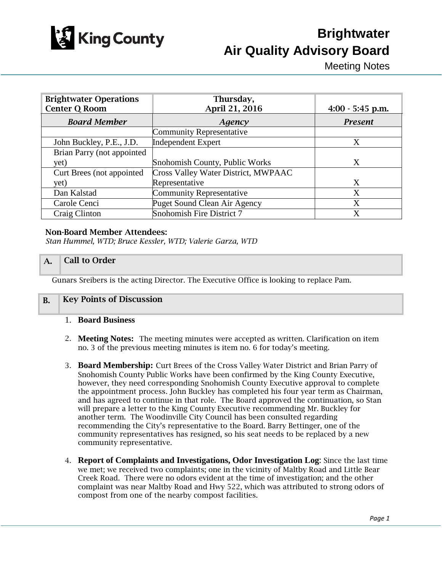

Meeting Notes

| <b>Brightwater Operations</b> | Thursday,                           |                    |
|-------------------------------|-------------------------------------|--------------------|
| <b>Center Q Room</b>          | April 21, 2016                      | $4:00 - 5:45$ p.m. |
| <b>Board Member</b>           | Agency                              | <b>Present</b>     |
|                               | <b>Community Representative</b>     |                    |
| John Buckley, P.E., J.D.      | <b>Independent Expert</b>           | X                  |
| Brian Parry (not appointed    |                                     |                    |
| yet)                          | Snohomish County, Public Works      | X                  |
| Curt Brees (not appointed)    | Cross Valley Water District, MWPAAC |                    |
| yet)                          | Representative                      | X                  |
| Dan Kalstad                   | <b>Community Representative</b>     | X                  |
| Carole Cenci                  | Puget Sound Clean Air Agency        | X                  |
| Craig Clinton                 | Snohomish Fire District 7           | X                  |

#### Non-Board Member Attendees:

*Stan Hummel, WTD; Bruce Kessler, WTD; Valerie Garza, WTD*

### A. Call to Order

Gunars Sreibers is the acting Director. The Executive Office is looking to replace Pam.

#### B. Key Points of Discussion

#### 1. **Board Business**

- 2. **Meeting Notes:** The meeting minutes were accepted as written. Clarification on item no. 3 of the previous meeting minutes is item no. 6 for today's meeting.
- 3. **Board Membership:** Curt Brees of the Cross Valley Water District and Brian Parry of Snohomish County Public Works have been confirmed by the King County Executive, however, they need corresponding Snohomish County Executive approval to complete the appointment process. John Buckley has completed his four year term as Chairman, and has agreed to continue in that role. The Board approved the continuation, so Stan will prepare a letter to the King County Executive recommending Mr. Buckley for another term. The Woodinville City Council has been consulted regarding recommending the City's representative to the Board. Barry Bettinger, one of the community representatives has resigned, so his seat needs to be replaced by a new community representative.
- 4. **Report of Complaints and Investigations, Odor Investigation Log**: Since the last time we met; we received two complaints; one in the vicinity of Maltby Road and Little Bear Creek Road. There were no odors evident at the time of investigation; and the other complaint was near Maltby Road and Hwy 522, which was attributed to strong odors of compost from one of the nearby compost facilities.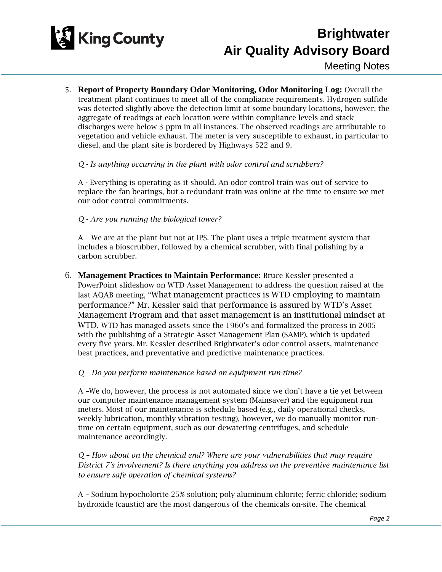

Meeting Notes

5. **Report of Property Boundary Odor Monitoring, Odor Monitoring Log:** Overall the treatment plant continues to meet all of the compliance requirements. Hydrogen sulfide was detected slightly above the detection limit at some boundary locations, however, the aggregate of readings at each location were within compliance levels and stack discharges were below 3 ppm in all instances. The observed readings are attributable to vegetation and vehicle exhaust. The meter is very susceptible to exhaust, in particular to diesel, and the plant site is bordered by Highways 522 and 9.

*Q - Is anything occurring in the plant with odor control and scrubbers?* 

A - Everything is operating as it should. An odor control train was out of service to replace the fan bearings, but a redundant train was online at the time to ensure we met our odor control commitments.

*Q - Are you running the biological tower?* 

A – We are at the plant but not at IPS. The plant uses a triple treatment system that includes a bioscrubber, followed by a chemical scrubber, with final polishing by a carbon scrubber.

6. **Management Practices to Maintain Performance:** Bruce Kessler presented a PowerPoint slideshow on WTD Asset Management to address the question raised at the last AQAB meeting, "What management practices is WTD employing to maintain performance?" Mr. Kessler said that performance is assured by WTD's Asset Management Program and that asset management is an institutional mindset at WTD. WTD has managed assets since the 1960's and formalized the process in 2005 with the publishing of a Strategic Asset Management Plan (SAMP), which is updated every five years. Mr. Kessler described Brightwater's odor control assets, maintenance best practices, and preventative and predictive maintenance practices.

*Q – Do you perform maintenance based on equipment run-time?* 

A –We do, however, the process is not automated since we don't have a tie yet between our computer maintenance management system (Mainsaver) and the equipment run meters. Most of our maintenance is schedule based (e.g., daily operational checks, weekly lubrication, monthly vibration testing), however, we do manually monitor runtime on certain equipment, such as our dewatering centrifuges, and schedule maintenance accordingly.

*Q – How about on the chemical end? Where are your vulnerabilities that may require District 7's involvement? Is there anything you address on the preventive maintenance list to ensure safe operation of chemical systems?*

A – Sodium hypocholorite 25% solution; poly aluminum chlorite; ferric chloride; sodium hydroxide (caustic) are the most dangerous of the chemicals on-site. The chemical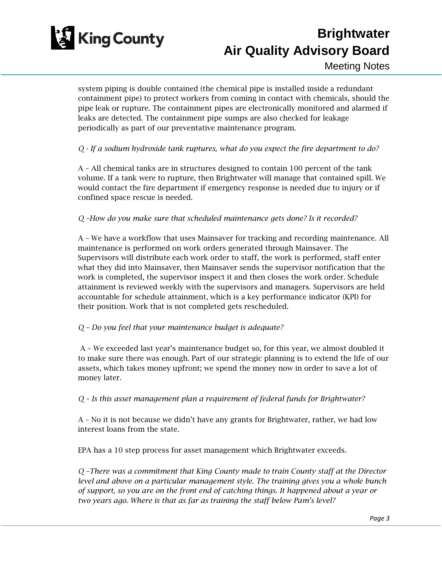

Meeting Notes

system piping is double contained (the chemical pipe is installed inside a redundant containment pipe) to protect workers from coming in contact with chemicals, should the pipe leak or rupture. The containment pipes are electronically monitored and alarmed if leaks are detected. The containment pipe sumps are also checked for leakage periodically as part of our preventative maintenance program.

### *Q - If a sodium hydroxide tank ruptures, what do you expect the fire department to do?*

A – All chemical tanks are in structures designed to contain 100 percent of the tank volume. If a tank were to rupture, then Brightwater will manage that contained spill. We would contact the fire department if emergency response is needed due to injury or if confined space rescue is needed.

### *Q –How do you make sure that scheduled maintenance gets done? Is it recorded?*

A – We have a workflow that uses Mainsaver for tracking and recording maintenance. All maintenance is performed on work orders generated through Mainsaver. The Supervisors will distribute each work order to staff, the work is performed, staff enter what they did into Mainsaver, then Mainsaver sends the supervisor notification that the work is completed, the supervisor inspect it and then closes the work order. Schedule attainment is reviewed weekly with the supervisors and managers. Supervisors are held accountable for schedule attainment, which is a key performance indicator (KPI) for their position. Work that is not completed gets rescheduled.

### *Q – Do you feel that your maintenance budget is adequate?*

A – We exceeded last year's maintenance budget so, for this year, we almost doubled it to make sure there was enough. Part of our strategic planning is to extend the life of our assets, which takes money upfront; we spend the money now in order to save a lot of money later.

*Q – Is this asset management plan a requirement of federal funds for Brightwater?*

A – No it is not because we didn't have any grants for Brightwater, rather, we had low interest loans from the state.

EPA has a 10 step process for asset management which Brightwater exceeds.

*Q –There was a commitment that King County made to train County staff at the Director level and above on a particular management style. The training gives you a whole bunch of support, so you are on the front end of catching things. It happened about a year or two years ago. Where is that as far as training the staff below Pam's level?*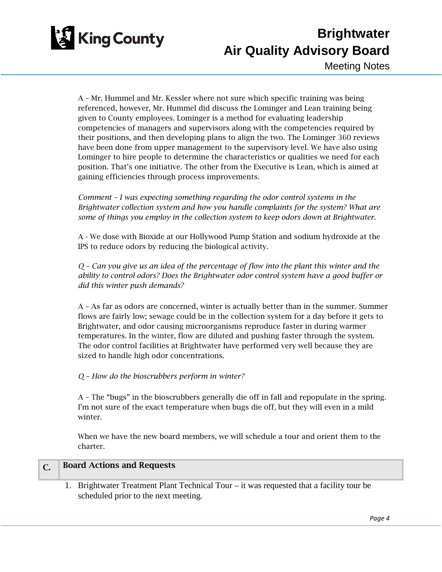

Meeting Notes

A – Mr. Hummel and Mr. Kessler where not sure which specific training was being referenced, however, Mr. Hummel did discuss the Lominger and Lean training being given to County employees. Lominger is a method for evaluating leadership competencies of managers and supervisors along with the competencies required by their positions, and then developing plans to align the two. The Lominger 360 reviews have been done from upper management to the supervisory level. We have also using Lominger to hire people to determine the characteristics or qualities we need for each position. That's one initiative. The other from the Executive is Lean, which is aimed at gaining efficiencies through process improvements.

*Comment – I was expecting something regarding the odor control systems in the Brightwater collection system and how you handle complaints for the system? What are some of things you employ in the collection system to keep odors down at Brightwater.*

A - We dose with Bioxide at our Hollywood Pump Station and sodium hydroxide at the IPS to reduce odors by reducing the biological activity.

*Q – Can you give us an idea of the percentage of flow into the plant this winter and the ability to control odors? Does the Brightwater odor control system have a good buffer or did this winter push demands?*

A – As far as odors are concerned, winter is actually better than in the summer. Summer flows are fairly low; sewage could be in the collection system for a day before it gets to Brightwater, and odor causing microorganisms reproduce faster in during warmer temperatures. In the winter, flow are diluted and pushing faster through the system. The odor control facilities at Brightwater have performed very well because they are sized to handle high odor concentrations.

### *Q – How do the bioscrubbers perform in winter?*

A – The "bugs" in the bioscrubbers generally die off in fall and repopulate in the spring. I'm not sure of the exact temperature when bugs die off, but they will even in a mild winter.

When we have the new board members, we will schedule a tour and orient them to the charter.

#### C. Board Actions and Requests

1. Brightwater Treatment Plant Technical Tour – it was requested that a facility tour be scheduled prior to the next meeting.